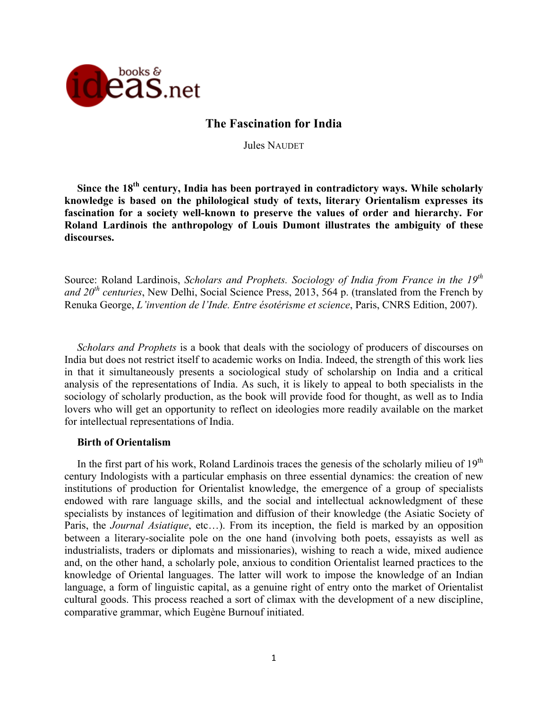

## **The Fascination for India**

Jules NAUDET

**Since the 18th century, India has been portrayed in contradictory ways. While scholarly knowledge is based on the philological study of texts, literary Orientalism expresses its fascination for a society well-known to preserve the values of order and hierarchy. For Roland Lardinois the anthropology of Louis Dumont illustrates the ambiguity of these discourses.**

Source: Roland Lardinois, *Scholars and Prophets. Sociology of India from France in the 19th and 20th centuries*, New Delhi, Social Science Press, 2013, 564 p. (translated from the French by Renuka George, *L'invention de l'Inde. Entre ésotérisme et science*, Paris, CNRS Edition, 2007).

*Scholars and Prophets* is a book that deals with the sociology of producers of discourses on India but does not restrict itself to academic works on India. Indeed, the strength of this work lies in that it simultaneously presents a sociological study of scholarship on India and a critical analysis of the representations of India. As such, it is likely to appeal to both specialists in the sociology of scholarly production, as the book will provide food for thought, as well as to India lovers who will get an opportunity to reflect on ideologies more readily available on the market for intellectual representations of India.

## **Birth of Orientalism**

In the first part of his work, Roland Lardinois traces the genesis of the scholarly milieu of  $19<sup>th</sup>$ century Indologists with a particular emphasis on three essential dynamics: the creation of new institutions of production for Orientalist knowledge, the emergence of a group of specialists endowed with rare language skills, and the social and intellectual acknowledgment of these specialists by instances of legitimation and diffusion of their knowledge (the Asiatic Society of Paris, the *Journal Asiatique*, etc…). From its inception, the field is marked by an opposition between a literary-socialite pole on the one hand (involving both poets, essayists as well as industrialists, traders or diplomats and missionaries), wishing to reach a wide, mixed audience and, on the other hand, a scholarly pole, anxious to condition Orientalist learned practices to the knowledge of Oriental languages. The latter will work to impose the knowledge of an Indian language, a form of linguistic capital, as a genuine right of entry onto the market of Orientalist cultural goods. This process reached a sort of climax with the development of a new discipline, comparative grammar, which Eugène Burnouf initiated.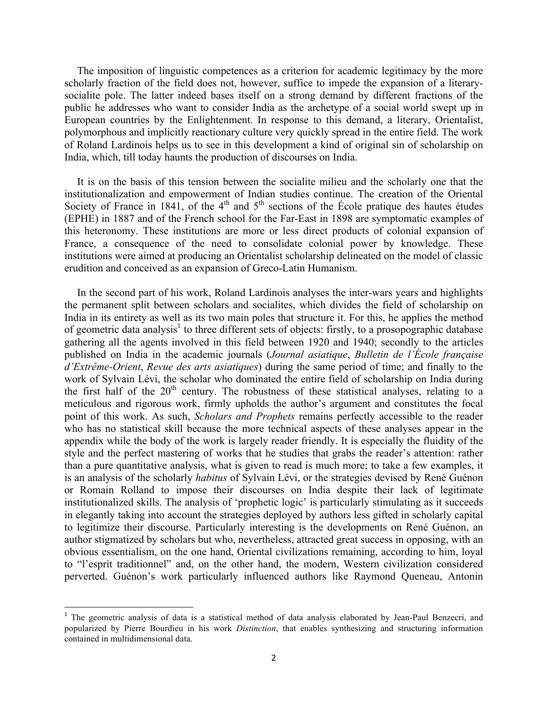The imposition of linguistic competences as a criterion for academic legitimacy by the more scholarly fraction of the field does not, however, suffice to impede the expansion of a literarysocialite pole. The latter indeed bases itself on a strong demand by different fractions of the public he addresses who want to consider India as the archetype of a social world swept up in European countries by the Enlightenment. In response to this demand, a literary, Orientalist, polymorphous and implicitly reactionary culture very quickly spread in the entire field. The work of Roland Lardinois helps us to see in this development a kind of original sin of scholarship on India, which, till today haunts the production of discourses on India.

It is on the basis of this tension between the socialite milieu and the scholarly one that the institutionalization and empowerment of Indian studies continue. The creation of the Oriental Society of France in 1841, of the  $4<sup>th</sup>$  and  $5<sup>th</sup>$  sections of the École pratique des hautes études (EPHE) in 1887 and of the French school for the Far-East in 1898 are symptomatic examples of this heteronomy. These institutions are more or less direct products of colonial expansion of France, a consequence of the need to consolidate colonial power by knowledge. These institutions were aimed at producing an Orientalist scholarship delineated on the model of classic erudition and conceived as an expansion of Greco-Latin Humanism.

In the second part of his work, Roland Lardinois analyses the inter-wars years and highlights the permanent split between scholars and socialites, which divides the field of scholarship on India in its entirety as well as its two main poles that structure it. For this, he applies the method of geometric data analysis<sup>1</sup> to three different sets of objects: firstly, to a prosopographic database gathering all the agents involved in this field between 1920 and 1940; secondly to the articles published on India in the academic journals (*Journal asiatique*, *Bulletin de l'École française d'Extrême-Orient*, *Revue des arts asiatiques*) during the same period of time; and finally to the work of Sylvain Lévi, the scholar who dominated the entire field of scholarship on India during the first half of the  $20<sup>th</sup>$  century. The robustness of these statistical analyses, relating to a meticulous and rigorous work, firmly upholds the author's argument and constitutes the focal point of this work. As such, *Scholars and Prophets* remains perfectly accessible to the reader who has no statistical skill because the more technical aspects of these analyses appear in the appendix while the body of the work is largely reader friendly. It is especially the fluidity of the style and the perfect mastering of works that he studies that grabs the reader's attention: rather than a pure quantitative analysis, what is given to read is much more; to take a few examples, it is an analysis of the scholarly *habitus* of Sylvain Lévi, or the strategies devised by René Guénon or Romain Rolland to impose their discourses on India despite their lack of legitimate institutionalized skills. The analysis of 'prophetic logic' is particularly stimulating as it succeeds in elegantly taking into account the strategies deployed by authors less gifted in scholarly capital to legitimize their discourse. Particularly interesting is the developments on René Guénon, an author stigmatized by scholars but who, nevertheless, attracted great success in opposing, with an obvious essentialism, on the one hand, Oriental civilizations remaining, according to him, loyal to "l'esprit traditionnel" and, on the other hand, the modern, Western civilization considered perverted. Guénon's work particularly influenced authors like Raymond Queneau, Antonin

 

<sup>&</sup>lt;sup>1</sup> The geometric analysis of data is a statistical method of data analysis elaborated by Jean-Paul Benzecri, and popularized by Pierre Bourdieu in his work *Distinction*, that enables synthesizing and structuring information contained in multidimensional data.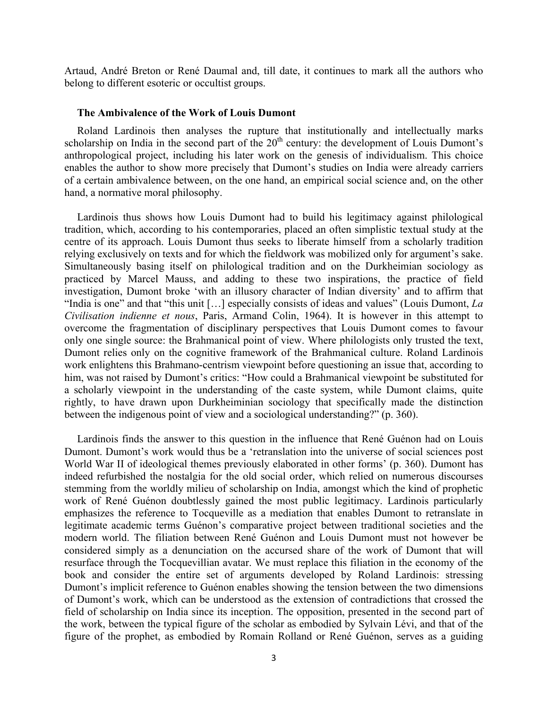Artaud, André Breton or René Daumal and, till date, it continues to mark all the authors who belong to different esoteric or occultist groups.

## **The Ambivalence of the Work of Louis Dumont**

Roland Lardinois then analyses the rupture that institutionally and intellectually marks scholarship on India in the second part of the  $20<sup>th</sup>$  century: the development of Louis Dumont's anthropological project, including his later work on the genesis of individualism. This choice enables the author to show more precisely that Dumont's studies on India were already carriers of a certain ambivalence between, on the one hand, an empirical social science and, on the other hand, a normative moral philosophy.

Lardinois thus shows how Louis Dumont had to build his legitimacy against philological tradition, which, according to his contemporaries, placed an often simplistic textual study at the centre of its approach. Louis Dumont thus seeks to liberate himself from a scholarly tradition relying exclusively on texts and for which the fieldwork was mobilized only for argument's sake. Simultaneously basing itself on philological tradition and on the Durkheimian sociology as practiced by Marcel Mauss, and adding to these two inspirations, the practice of field investigation, Dumont broke 'with an illusory character of Indian diversity' and to affirm that "India is one" and that "this unit […] especially consists of ideas and values" (Louis Dumont, *La Civilisation indienne et nous*, Paris, Armand Colin, 1964). It is however in this attempt to overcome the fragmentation of disciplinary perspectives that Louis Dumont comes to favour only one single source: the Brahmanical point of view. Where philologists only trusted the text, Dumont relies only on the cognitive framework of the Brahmanical culture. Roland Lardinois work enlightens this Brahmano-centrism viewpoint before questioning an issue that, according to him, was not raised by Dumont's critics: "How could a Brahmanical viewpoint be substituted for a scholarly viewpoint in the understanding of the caste system, while Dumont claims, quite rightly, to have drawn upon Durkheiminian sociology that specifically made the distinction between the indigenous point of view and a sociological understanding?" (p. 360).

Lardinois finds the answer to this question in the influence that René Guénon had on Louis Dumont. Dumont's work would thus be a 'retranslation into the universe of social sciences post World War II of ideological themes previously elaborated in other forms' (p. 360). Dumont has indeed refurbished the nostalgia for the old social order, which relied on numerous discourses stemming from the worldly milieu of scholarship on India, amongst which the kind of prophetic work of René Guénon doubtlessly gained the most public legitimacy. Lardinois particularly emphasizes the reference to Tocqueville as a mediation that enables Dumont to retranslate in legitimate academic terms Guénon's comparative project between traditional societies and the modern world. The filiation between René Guénon and Louis Dumont must not however be considered simply as a denunciation on the accursed share of the work of Dumont that will resurface through the Tocquevillian avatar. We must replace this filiation in the economy of the book and consider the entire set of arguments developed by Roland Lardinois: stressing Dumont's implicit reference to Guénon enables showing the tension between the two dimensions of Dumont's work, which can be understood as the extension of contradictions that crossed the field of scholarship on India since its inception. The opposition, presented in the second part of the work, between the typical figure of the scholar as embodied by Sylvain Lévi, and that of the figure of the prophet, as embodied by Romain Rolland or René Guénon, serves as a guiding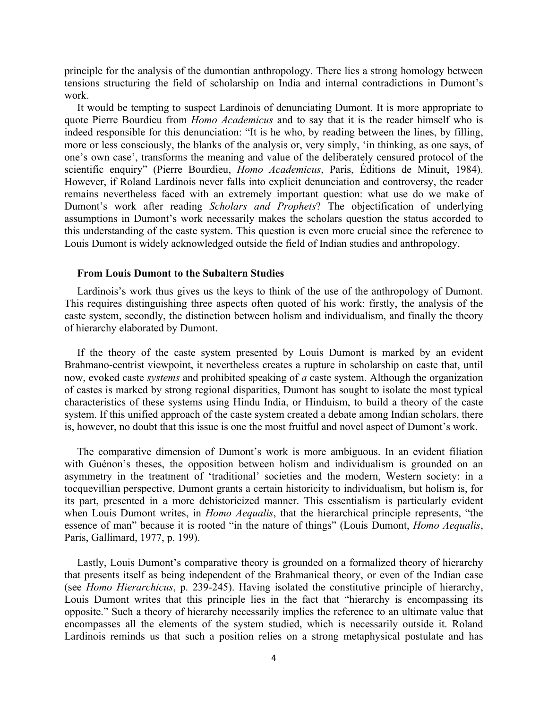principle for the analysis of the dumontian anthropology. There lies a strong homology between tensions structuring the field of scholarship on India and internal contradictions in Dumont's work.

It would be tempting to suspect Lardinois of denunciating Dumont. It is more appropriate to quote Pierre Bourdieu from *Homo Academicus* and to say that it is the reader himself who is indeed responsible for this denunciation: "It is he who, by reading between the lines, by filling, more or less consciously, the blanks of the analysis or, very simply, 'in thinking, as one says, of one's own case', transforms the meaning and value of the deliberately censured protocol of the scientific enquiry" (Pierre Bourdieu, *Homo Academicus*, Paris, Éditions de Minuit, 1984). However, if Roland Lardinois never falls into explicit denunciation and controversy, the reader remains nevertheless faced with an extremely important question: what use do we make of Dumont's work after reading *Scholars and Prophets*? The objectification of underlying assumptions in Dumont's work necessarily makes the scholars question the status accorded to this understanding of the caste system. This question is even more crucial since the reference to Louis Dumont is widely acknowledged outside the field of Indian studies and anthropology.

## **From Louis Dumont to the Subaltern Studies**

Lardinois's work thus gives us the keys to think of the use of the anthropology of Dumont. This requires distinguishing three aspects often quoted of his work: firstly, the analysis of the caste system, secondly, the distinction between holism and individualism, and finally the theory of hierarchy elaborated by Dumont.

If the theory of the caste system presented by Louis Dumont is marked by an evident Brahmano-centrist viewpoint, it nevertheless creates a rupture in scholarship on caste that, until now, evoked caste *systems* and prohibited speaking of *a* caste system. Although the organization of castes is marked by strong regional disparities, Dumont has sought to isolate the most typical characteristics of these systems using Hindu India, or Hinduism, to build a theory of the caste system. If this unified approach of the caste system created a debate among Indian scholars, there is, however, no doubt that this issue is one the most fruitful and novel aspect of Dumont's work.

The comparative dimension of Dumont's work is more ambiguous. In an evident filiation with Guénon's theses, the opposition between holism and individualism is grounded on an asymmetry in the treatment of 'traditional' societies and the modern, Western society: in a tocquevillian perspective, Dumont grants a certain historicity to individualism, but holism is, for its part, presented in a more dehistoricized manner. This essentialism is particularly evident when Louis Dumont writes, in *Homo Aequalis*, that the hierarchical principle represents, "the essence of man" because it is rooted "in the nature of things" (Louis Dumont, *Homo Aequalis*, Paris, Gallimard, 1977, p. 199).

Lastly, Louis Dumont's comparative theory is grounded on a formalized theory of hierarchy that presents itself as being independent of the Brahmanical theory, or even of the Indian case (see *Homo Hierarchicus*, p. 239-245). Having isolated the constitutive principle of hierarchy, Louis Dumont writes that this principle lies in the fact that "hierarchy is encompassing its opposite." Such a theory of hierarchy necessarily implies the reference to an ultimate value that encompasses all the elements of the system studied, which is necessarily outside it. Roland Lardinois reminds us that such a position relies on a strong metaphysical postulate and has